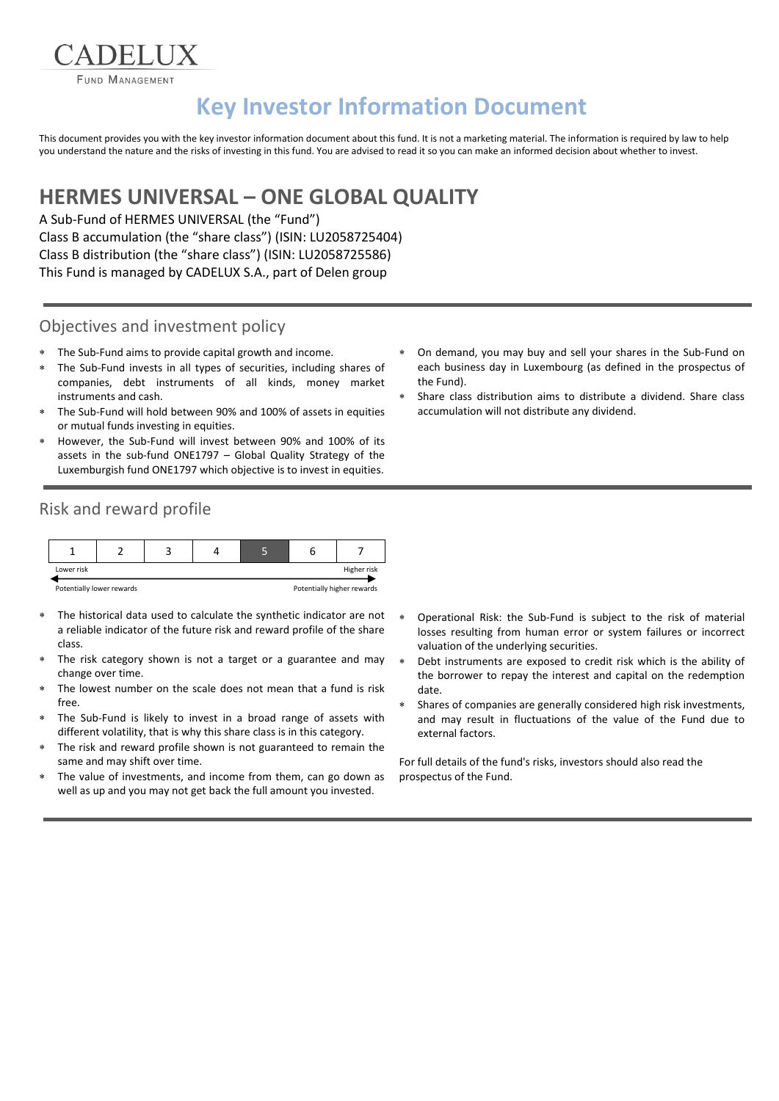**FUND MANAGEMENT** 

**ADELIIX** 

# **Key Investor Information Document**

This document provides you with the key investor information document about this fund. It is not a marketing material. The information is required by law to help you understand the nature and the risks of investing in this fund. You are advised to read it so you can make an informed decision about whether to invest.

## **HERMES UNIVERSAL – ONE GLOBAL QUALITY**

A Sub-Fund of HERMES UNIVERSAL (the "Fund") Class B accumulation (the "share class") (ISIN: LU2058725404) Class B distribution (the "share class") (ISIN: LU2058725586) This Fund is managed by CADELUX S.A., part of Delen group

#### Objectives and investment policy

- The Sub-Fund aims to provide capital growth and income.
- The Sub-Fund invests in all types of securities, including shares of companies, debt instruments of all kinds, money market instruments and cash.
- The Sub-Fund will hold between 90% and 100% of assets in equities or mutual funds investing in equities.
- However, the Sub-Fund will invest between 90% and 100% of its assets in the sub-fund ONE1797 – Global Quality Strategy of the Luxemburgish fund ONE1797 which objective is to invest in equities.
- Risk and reward profile



- The historical data used to calculate the synthetic indicator are not a reliable indicator of the future risk and reward profile of the share class.
- The risk category shown is not a target or a guarantee and may change over time.
- The lowest number on the scale does not mean that a fund is risk free.
- The Sub-Fund is likely to invest in a broad range of assets with different volatility, that is why this share class is in this category.
- The risk and reward profile shown is not guaranteed to remain the same and may shift over time.
- The value of investments, and income from them, can go down as well as up and you may not get back the full amount you invested.
- On demand, you may buy and sell your shares in the Sub-Fund on each business day in Luxembourg (as defined in the prospectus of the Fund).
- Share class distribution aims to distribute a dividend. Share class accumulation will not distribute any dividend.

- Operational Risk: the Sub-Fund is subject to the risk of material losses resulting from human error or system failures or incorrect valuation of the underlying securities.
- Debt instruments are exposed to credit risk which is the ability of the borrower to repay the interest and capital on the redemption date.
- Shares of companies are generally considered high risk investments, and may result in fluctuations of the value of the Fund due to external factors.

For full details of the fund's risks, investors should also read the prospectus of the Fund.